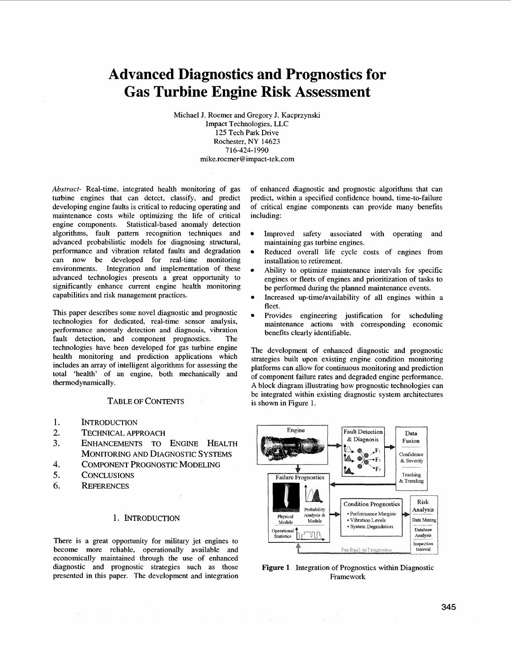# **Advanced Diagnostics and Prognostics for Gas Turbine Engine Risk Assessment**

Michael **J.** Roemer and Gregory J. Kacprzynski Impact Technologies, LLC 125 Tech Park Drive Rochester, NY 14623 **[mike.roemer@impact-tek.com](mailto:mike.roemer@impact-tek.com)**  7 16-424-1990

*Abstract-* Real-time, integrated health monitoring of gas turbine engines that can detect, classify, and predict developing engine faults is critical to reducing operating and maintenance costs while optimizing the life of critical engine components. Statistical-based anomaly detection algorithms, fault pattern recognition techniques and advanced probabilistic models for diagnosing structural, performance and vibration related faults and degradation can now be developed for real-time monitoring environments. Integration and implementation of these advanced technologies presents a great opportunity to significantly enhance current engine health monitoring capabilities and risk management practices.

This paper describes some novel diagnostic and prognostic technologies for dedicated, real-time sensor analysis, performance anomaly detection and diagnosis, vibration fault detection, and component prognostics. The technologies have been developed for gas turbine engine health monitoring and prediction applications which includes an array of intelligent algorithms for assessing the total 'health' of an engine, both mechanically and thermodynamically.

## TABLE OF CONTENTS

- 1. INTRODUCTION
- **2.** TECHNICAL APPROACH
- **3.** ENHANCEMENTS TO ENGINE HEALTH MONITORING AND DIAGNOSTIC SYSTEMS
- 4. COMPONENT PROGNOSTIC MODELING
- 5. CONCLUSIONS
- 6. REERENCES

### 1. INTRODUCTION

There is a great opportunity for military jet engines to become more reliable, operationally available and economically maintained through the use of enhanced diagnostic and prognostic strategies such as those presented in this paper. The development and integration of enhanced diagnostic and prognostic algorithms that can predict, within a specified confidence bound, time-to-failure of critical engine components can provide many benefits including:

- $\bullet$ Improved safety associated with operating and maintaining gas turbine engines.
- $\bullet$ Reduced overall life cycle costs of engines from installation to retirement.
- Ability to optimize maintenance intervals for specific  $\bullet$ engines or fleets of engines and prioritization of tasks to be performed during the planned maintenance events.
- Increased up-time/availability of all engines within a fleet.
- Provides engineering justification for scheduling maintenance actions with corresponding economic benefits clearly identifiable.

The development of enhanced diagnostic and prognostic strategies built upon existing engine condition monitoring platforms can allow for continuous monitoring and prediction of component failure rates and degraded engine performance. A block diagram illustrating how prognostic technologies can is shown in Figure 1.



**Figure 1** Integration of Prognostics within Diagnostic Framework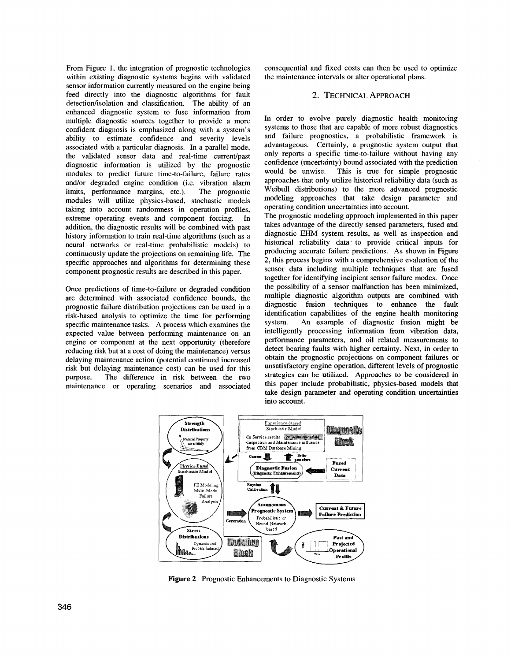From Figure **1,** the integration of prognostic technologies within existing diagnostic systems begins with validated sensor information currently measured on the engine being feed directly into the diagnostic algorithms for fault detection/isolation and classification. The ability of an enhanced diagnostic system to fuse information from multiple diagnostic sources together to provide a more confident diagnosis is emphasized along with a system's ability to estimate confidence and severity levels associated with a particular diagnosis. In a parallel mode, the validated sensor data and real-time current/past diagnostic information is utilized by the prognostic modules to predict future time-to-failure, failure rates and/or degraded engine condition (i.e. vibration alarm limits, performance margins, etc.). The prognostic modules will utilize physics-based, stochastic models taking into account randomness in operation profiles, extreme operating events and component forcing. In addition, the diagnostic results will be combined with past history information to train real-time algorithms (such as a neural networks or real-time probabilistic models) to continuously update the projections on remaining life. The specific approaches and algorithms for determining these component prognostic results are described in this paper.

Once predictions of time-to-failure or degraded condition are determined with associated confidence bounds, the prognostic failure distribution projections can be used in a risk-based analysis to optimize the time for performing specific maintenance tasks. A process which examines the expected value between performing maintenance on **an**  engine or component at the next opportunity (therefore reducing risk but at a cost of doing the maintenance) versus delaying maintenance action (potential continued increased risk but delaying maintenance cost) can be used for this purpose. The difference in risk between the two maintenance or operating scenarios and associated consequential and fixed costs can then be used to optimize the maintenance intervals or alter operational plans.

## **2. TECHNICAL APPROACH**

**In** order to evolve purely diagnostic health monitoring systems to those that are capable of more robust diagnostics and failure prognostics, a probabilistic framework is advantageous. Certainly, a prognostic system output that only reports a specific time-to-failure without having any confidence (uncertainty) bound associated with the prediction would be unwise. This is true for simple prognostic approaches that only utilize historical reliability data (such as Weibull distributions) to the more advanced prognostic modeling approaches that take design parameter and operating condition uncertainties into account.

The prognostic modeling approach implemented in this paper takes advantage of the directly sensed parameters, fused and diagnostic EHM system results, as well as inspection and historical reliability data to provide critical inputs for producing accurate failure predictions. **As** shown in Figure **2,** this process begins with a comprehensive evaluation of the sensor data including multiple techniques that are fused together for identifying incipient sensor failure modes. Once the possibility of a sensor malfunction has been minimized, multiple diagnostic algorithm outputs are combined with diagnostic fusion techniques to enhance the fault identification capabilities of the engine health monitoring system. *An* example of diagnostic fusion might be intelligently processing information from vibration data, performance parameters, and oil related measurements to detect bearing faults with higher certainty. Next, in order to obtain the prognostic projections on component failures or unsatisfactory engine operation, different levels of prognostic strategies can be utilized. Approaches to be considered in this paper include probabilistic, physics-based models that take design parameter and operating condition uncertainties into account.



**Figure 2** Prognostic Enhancements to Diagnostic Systems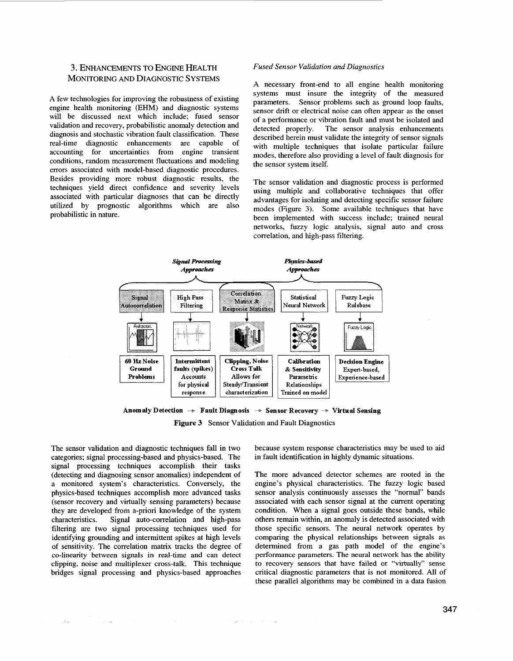# 3. ENHANCEMENTS **TO** ENGINE HEALTH MONITORING AND DIAGNOSTIC **SYSTEMS**

**A** few technologies for improving the robustness of existing engine health monitoring (EHM) and diagnostic systems will be discussed next which include; fused sensor validation and recovery, probabilistic anomaly detection and diagnosis and stochastic vibration fault classification. These real-time diagnostic enhancements are capable of accounting for uncertainties from engine transient conditions, random measurement fluctuations and modeling errors associated with model-based diagnostic procedures. Besides providing more robust diagnostic results, the techniques yield direct confidence and severity levels associated with particular diagnoses that can be directly utilized by prognostic algorithms which are also probabilistic in nature.

## *Fused Sensor Validation and Diagnostics*

**A** necessary front-end to all engine health monitoring systems must insure the integrity of the measured parameters. Sensor problems such as ground loop faults, sensor drift or electrical noise can often appear as the onset of a performance or vibration fault and must be isolated and detected properly. The sensor analysis enhancements described herein must validate the integrity of sensor signals with multiple techniques that isolate particular failure modes, therefore also providing a level of fault diagnosis for the sensor system itself.

The sensor validation and diagnostic process is performed using multiple and collaborative techniques that offer advantages for isolating and detecting specific sensor failure modes (Figure **3).** Some available techniques that have been implemented with success include; trained neural networks, fuzzy logic analysis, signal auto and cross correlation, and high-pass filtering.



**Anomaly Detection** *P* **Fault Diagnosis** - **Sensor Recovery** \* **Virtual Sensing** 

**Figure 3** Sensor Validation and Fault Diagnostics

The sensor validation and diagnostic techniques fall in two categories; signal processing-based and physics-based. The signal processing techniques accomplish their tasks (detecting and diagnosing sensor anomalies) independent of a monitored system's characteristics. Conversely, the physics-based techniques accomplish more advanced tasks (sensor recovery and virtually sensing parameters) because they are developed from a-priori knowledge of the system characteristics. Signal auto-correlation and high-pass filtering are two signal processing techniques used for identifying grounding and intermittent spikes at high levels of sensitivity. The correlation matrix tracks the degree of co-linearity between signals in real-time and can detect clipping, noise and multiplexer cross-talk. This technique bridges signal processing and physics-based approaches

because system response characteristics may be used to aid in fault identification in highly dynamic situations.

The more advanced detector schemes are rooted in the engine's physical characteristics. The fuzzy logic based sensor analysis continuously assesses the "normal" bands associated with each sensor signal at the current operating condition. When a signal goes outside these bands, while others remain within, an anomaly is detected associated with those specific sensors. The neural network operates by comparing the physical relationships between signals as determined from a gas path model of the engine's performance parameters. The neural network has the ability to recovery sensors that have failed or "virtually" sense critical diagnostic parameters that is not monitored. All of these parallel algorithms may be combined in a data fusion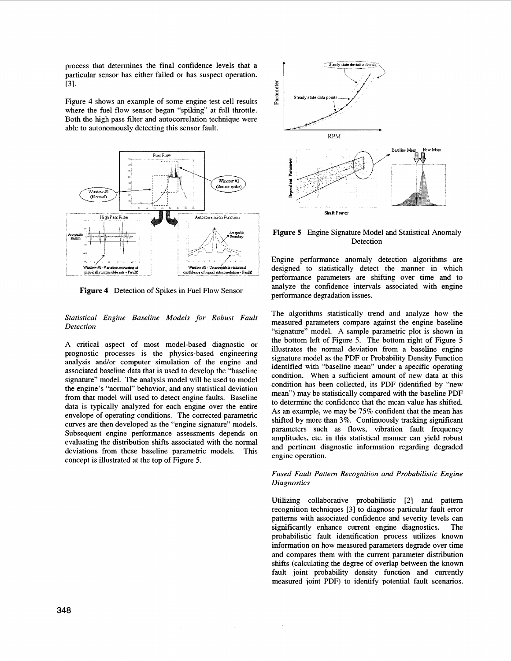process that determines the final confidence levels that a particular sensor has either failed or has suspect operation.  $[3]$ .

Figure 4 shows an example of some engine test cell results where the fuel flow sensor began "spiking" at full throttle. Both the high pass filter and autocorrelation technique were able to autonomously detecting this sensor fault.



**Figure 4** Detection of Spikes in Fuel Flow Sensor

## *Statistical Engine Baseline Models for Robust Fault Detection*

A critical aspect of most model-based diagnostic or prognostic processes is the physics-based engineering analysis and/or computer simulation of the engine and associated baseline data that is used to develop the "baseline signature" model. The analysis model will be used to model the engine's "normal" behavior, and any statistical deviation from that model will used to detect engine faults. Baseline data is typically analyzed for each engine over the entire envelope of operating conditions. The corrected parametric curves are then developed as the "engine signature" models. Subsequent engine performance assessments depends on evaluating the distribution shifts associated with the normal deviations from these baseline parametric models. This concept is illustrated at the top of Figure 5.



**Figure 5** Engine Signature Model and Statistical Anomaly Detection

Engine performance anomaly detection algorithms are designed to statistically detect the manner in which performance parameters are shifting over time and to analyze the confidence intervals associated with engine performance degradation issues.

The algorithms statistically trend and analyze how the measured parameters compare against the engine baseline "signature" model. A sample parametric plot is shown in the bottom left of Figure 5. The bottom right of Figure 5 illustrates the normal deviation from a baseline engine signature model as the PDF or Probability Density Function identified with "baseline mean" under a specific operating condition. When a sufficient amount of new data at this condition has been collected, its PDF (identified by "new mean") may be statistically compared with the baseline PDF to determine the confidence that the mean value has shifted. As an example, we may be **75%** confident that the mean has shifted by more than 3%. Continuously tracking significant parameters such as flows, vibration fault frequency amplitudes, etc. in this statistical manner can yield robust and pertinent diagnostic information regarding degraded engine operation.

#### **Fused Fault Pattern Recognition and Probabilistic Engine** *Diagnostics*

Utilizing collaborative probabilistic [2] and pattern recognition techniques [3] to diagnose particular fault error patterns with associated confidence and severity levels can significantly enhance current engine diagnostics. The probabilistic fault identification process utilizes known information on how measured parameters degrade over time and compares them with the current parameter distribution shifts (calculating the degree of overlap between the known fault joint probability density function and currently measured joint PDF) to identify potential fault scenarios.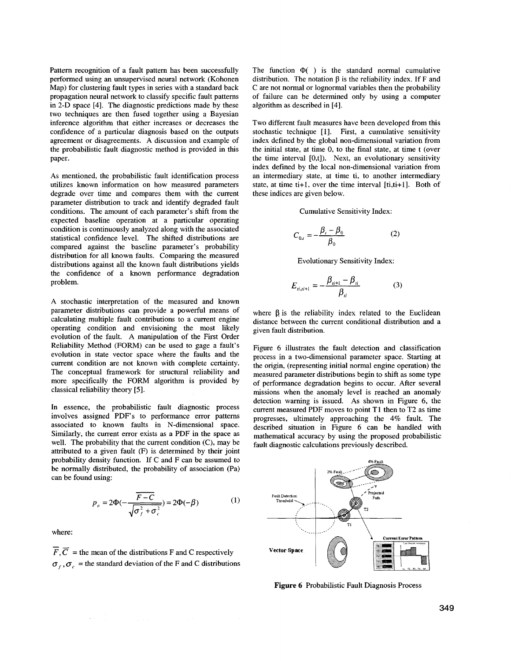Pattern recognition of a fault pattern has been successfully performed using an unsupervised neural network (Kohonen Map) for clustering fault types in series with a standard back propagation neural network to classify specific fault patterns in 2-D space [4]. The diagnostic predictions made by these two techniques are then fused together using a Bayesian inference algorithm that either increases or decreases the confidence of a particular diagnosis based on the outputs agreement or disagreements. **A** discussion and example of the probabilistic fault diagnostic method is provided in this paper.

As mentioned, the probabilistic fault identification process utilizes known information on how measured parameters degrade over time and compares them with the current parameter distribution to track and identify degraded fault conditions. The amount of each parameter's shift from the expected baseline operation at **a** particular operating condition is continuously analyzed along with the associated statistical confidence level. The shifted distributions are compared against the baseline parameter's probability distribution for all known faults. Comparing the measured distributions against all the known fault distributions yields the confidence of a known performance degradation problem.

A stochastic interpretation of the measured and known parameter distributions can provide a powerful means of calculating multiple fault contributions to a current engine operating condition and envisioning the most likely evolution of the fault. **A** manipulation of the First Order Reliability Method (FORM) can be used to gage a fault's evolution in state vector space where the faults and the current condition are not known with complete certainty. The conceptual framework for structural reliability and more specifically the FORM algorithm is provided by classical reliability theory *[5].* 

In essence, the probabilistic fault diagnostic process involves assigned PDF's to performance error patterns associated to known faults in N-dimensional space. Similarly, the current error exists as a PDF in the space as well. The probability that the current condition (C), may be attributed to a given fault (F) is determined by their joint probability density function. If C and F can be assumed to be normally distributed, the probability of association (Pa) can be found using:

$$
p_a = 2\Phi(-\frac{\overline{F - C}}{\sqrt{\sigma_f^2 + \sigma_c^2}}) = 2\Phi(-\beta)
$$
 (1)

where:<br> $\frac{1}{E}$   $\frac{1}{C}$ 

 $F, \overline{C}$  = the mean of the distributions F and C respectively  $\sigma_f$ ,  $\sigma_c$  = the standard deviation of the F and C distributions The function  $\Phi$ ( ) is the standard normal cumulative distribution. The notation  $\beta$  is the reliability index. If  $\mathbf F$  and C are not normal or lognormal variables then the probability of failure can be determined only by using a computer algorithm as described in [4].

Two different fault measures have been developed from this stochastic technique  $[1]$ . First, a cumulative sensitivity index defined by the global non-dimensional variation from the initial state, at time 0, to the final state, at time t (over the time interval [O,t]). Next, an evolutionary sensitivity index defined by the local non-dimensional variation from an intermediary state, at time ti, to another intermediary state, at time ti+l, over the time interval [ti,ti+l]. Both of these indices are given below.

Cumulative Sensitivity Index:

$$
C_{0,t} = -\frac{\beta_t - \beta_0}{\beta_0} \tag{2}
$$

Evolutionary Sensitivity Index:

$$
E_{n,n+1} = -\frac{\beta_{n+1} - \beta_n}{\beta_n}
$$
 (3)

where  $\beta$  is the reliability index related to the Euclidean distance between the current conditional distribution and a given fault distribution.

Figure 6 illustrates the fault detection and classification process in a two-dimensional parameter space. Starting at the origin, (representing initial normal engine operation) the measured parameter distributions begin to shift as some type of performance degradation begins to occur. After several missions when the anomaly level is reached an anomaly detection warning is issued. **As** shown in Figure **6,** the current measured PDF moves to point **T1** then to T2 as time progresses, ultimately approaching the 4% fault. The described situation in Figure 6 can be handled with mathematical accuracy by using the proposed probabilistic fault diagnostic calculations previously described.



**Figure** *6* Probabilistic Fault Diagnosis Process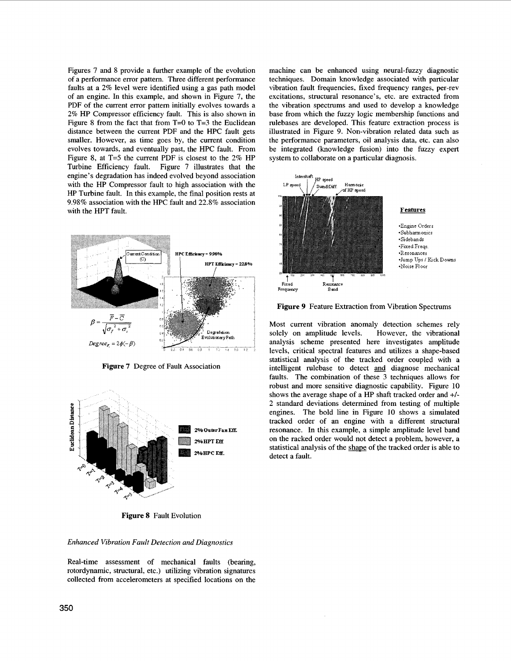Figures 7 and 8 provide a further example of the evolution of a performance error pattem. Three different performance faults at a 2% level were identified using a gas path model of an engine. In this example, and shown in Figure 7, the PDF of the current error pattern initially evolves towards a 2% HP Compressor efficiency fault. This is also shown in Figure 8 from the fact that from  $T=0$  to  $T=3$  the Euclidean distance between the current PDF and the HPC fault gets smaller. However, as time goes by, the current condition evolves towards, and eventually past, the HPC fault. From Figure **8,** at T=5 the current PDF is closest to the 2% HP Turbine Efficiency fault. Figure **7** illustrates that the engine's degradation has indeed evolved beyond association with the HP Compressor fault to high association with the HP Turbine fault. In this example, the final position rests at 9.98% association with the HPC fault and 22.8% association with the HPT fault.



**Figure 7** Degree of Fault Association



**Figure 8** Fault Evolution

*Enhanced Vibration Fault Detection and Diagnostics* 

Real-time assessment of mechanical faults (bearing, rotordynamic, structural, etc.) utilizing vibration signatures collected from accelerometers at specified locations on the

machine can be enhanced using neural-fuzzy diagnostic techniques. Domain knowledge associated with particular vibration fault frequencies, fixed frequency ranges, per-rev excitations, structural resonance's, etc. are extracted from the vibration spectrums and used to develop a knowledge base from which the fuzzy logic membership functions and rulebases are developed. This feature extraction process is illustrated in Figure **9.** Non-vibration related data such as the performance parameters, oil analysis data, etc. can also be integrated (knowledge fusion) into the fuzzy expert system to collaborate on a particular diagnosis.



**Figure 9** Feature Extraction from Vibration Spectrums

Most current vibration anomaly detection schemes rely solely on amplitude levels. However, the vibrational analysis scheme presented here investigates amplitude levels, critical spectral features and utilizes a shape-based statistical analysis of the tracked order coupled with a intelligent rulebase to detect **and** diagnose mechanical faults. The combination of these 3 techniques allows for robust and more sensitive diagnostic capability. Figure 10 shows the average shape of a HP shaft tracked order and +/- 2 standard deviations determined from testing of multiple engines. The bold line in [Figure 10](#page-6-0) shows **a** simulated tracked order of an engine with a different structural resonance. In this example, a simple amplitude level band on the racked order would not detect a problem, however, **a**  statistical analysis of the shape of the tracked order is able to detect a fault.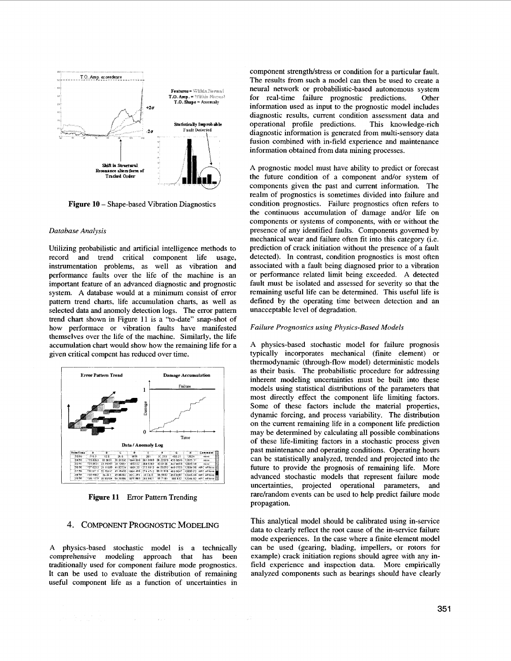<span id="page-6-0"></span>

**Figure 10** - Shape-based Vibration Diagnostics

#### *Database Analysis*

Utilizing probabilistic and artificial intelligence methods to record and trend critical component life usage, instrumentation problems, **as** well as vibration and performance faults over the life of the machine is an important feature of an advanced diagnostic and prognostic system. **A** database would at a minimum consist of error pattern trend charts, life accumulation charts, **as** well **as**  selected data and anomoly detection logs. The error pattern trend chart shown in Figure **11** is a "to-date'' snap-shot of how performace or vibration faults have manifested themselves over the life of the machine. Similarly, the life accumulation chart would show how the remaining life for a given critical compent has reduced over time.



**Figure 11** Error Pattern Trending

#### 4. COMPONENT PROGNOSTIC MODELING

**A** physics-based stochastic model is a technically comprehensive modeling approach that has been traditionally used for component failure mode prognostics. It can be used to evaluate the distribution of remaining useful component life **as** a function of uncertainties in

 $\sim 200$ 

component strength/stress or condition for a particular fault. The results from such **a** model can then be used to create a neural network or probabilistic-based autonomous system for real-time failure prognostic predictions. Other information used **as** input to the prognostic model includes diagnostic results, current condition assessment data and operational profile predictions. This knowledge-rich diagnostic information is generated from multi-sensory data fusion combined with in-field experience and maintenance information obtained from data mining processes.

**A** prognostic model must have ability to predict or forecast the future condition of a component and/or system of components given the past and current information. The realm of prognostics is sometimes divided into failure and condition prognostics. Failure prognostics often refers to the continuous accumulation of damage and/or life on components or systems of components, with or without the presence of any identified faults. Components govemed by mechanical wear and failure often fit into this category (i.e. prediction of crack initiation without the presence of a fault detected). In contrast, condition prognostics is most often associated with a fault being diagnosed prior to a vibration or performance related limit being exceeded. **A** detected fault must be isolated and assessed for severity so that the remaining useful life can be determined. This useful life is defined by the operating time between detection and an unacceptable level of degradation.

## *Failure Prognostics using Physics-Based Models*

**A** physics-based stochastic model for failure prognosis typically incorporates mechanical (finite element) or thermodynamic (through-flow model) deterministic models **as** their basis. The probabilistic procedure for addressing inherent modeling uncertainties must be built into these models using statistical distributions of the parameters that most directly effect the component life limiting factors. Some of these factors include the material properties, dynamic forcing, and process variability. The distribution on the 'current remaining life in a component life prediction may be determined by calculating all possible combinations **of** these life-limiting factors in a stochastic process given past maintenance and operating conditions. Operating hours can be statistically analyzed, trended and projected into the future to provide the prognosis of remaining life. More advanced stochastic models that represent failure mode uncertainties, projected operational parameters, and rare/random events can be used to help predict failure mode propagation.

This analytical model should be calibrated using in-service data to clearly reflect the root cause of the in-service failure mode experiences. In the case where a finite element model can be used (gearing, blading, impellers, or rotors for example) crack initiation regions should agree with any infield experience and inspection data. More empirically analyzed components such as bearings should have clearly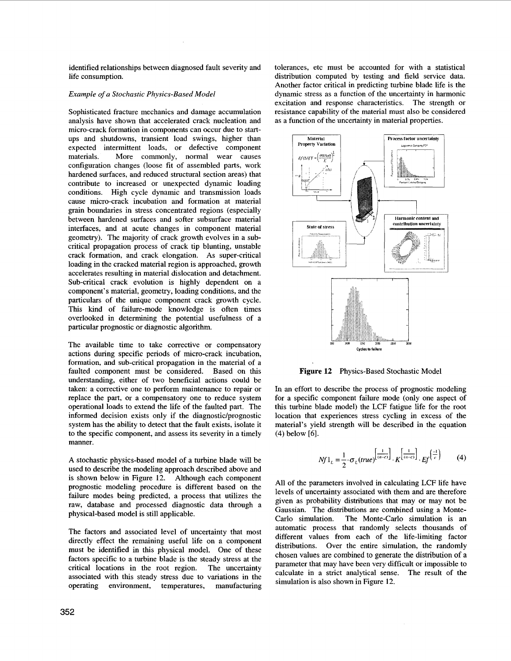identified relationships between diagnosed fault severity and life consumption.

#### *Example* of *a Stochastic Physics-Based Model*

Sophisticated fracture mechanics and damage accumulation analysis have shown that accelerated crack nucleation and micro-crack formation in components can occur due to startups and shutdowns, transient load swings, higher than expected intermittent loads, or defective component materials. More commonly, normal wear causes configuration changes (loose fit of assembled parts, work hardened surfaces, and reduced structural section areas) that contribute to increased or unexpected dynamic loading conditions. High cycle dynamic and transmission loads cause micro-crack incubation and formation at material grain boundaries in stress concentrated regions (especially between hardened surfaces and softer subsurface material interfaces, and at acute changes in component material geometry). The majority of crack growth evolves in a subcritical propagation process of crack tip blunting, unstable crack formation, and crack elongation. As super-critical loading in the cracked material region is approached, growth accelerates resulting in material dislocation and detachment. Sub-critical crack evolution is highly dependent on a component's material, geometry, loading conditions, and the particulars of the unique component crack growth cycle. This kind of failure-mode knowledge is often times overlooked in determining the potential usefulness of a particular prognostic or diagnostic algorithm.

The available time to take corrective or compensatory actions during specific periods of micro-crack incubation, formation, and sub-critical propagation in the material of a faulted component must be considered. Based on this understanding, either of two beneficial actions could be taken: a corrective one to perform maintenance to repair or replace the part, or a compensatory one to reduce system operational loads to extend the life of the faulted **part.** The informed decision exists only if the diagnostic/prognostic system has the ability to detect that the fault exists, isolate it to the specific component, and assess its severity in a timely manner.

**A** stochastic physics-based model of a turbine blade will be used to describe the modeling approach described above and is shown below in Figure 12. Although each component prognostic modeling procedure is different based on the failure modes being predicted, a process that utilizes the raw, database and processed diagnostic data through a physical-based model is still applicable.

The factors and associated level of uncertainty that most directly effect the remaining useful life on a component must be identified in this physical model. One of these factors specific to a turbine blade is the steady stress at the critical locations in the root region. The uncertainty associated with this steady stress due to variations in the operating environment, temperatures, manufacturing tolerances, etc must be accounted for with a statistical distribution computed by testing and field service data. Another factor critical in predicting turbine blade life is the dynamic stress as a function of the uncertainty in harmonic excitation and response characteristics. The strength or resistance capability of the material must also be considered as a function of the uncertainty in material properties.



**Figure 12** Physics-Based Stochastic Model

In an effort to describe the process of prognostic modeling for a specific component failure mode (only one aspect of this turbine blade model) the LCF fatigue life for the root location that experiences stress cycling in excess of the material's yield strength will be described in the equation (4) below **[6].** 

$$
Nf1_{L} = \frac{1}{2} \cdot \sigma_{L}(true)^{\left[\frac{1}{(n-c)}\right]} \cdot K^{\left[\frac{1}{(n-c)}\right]} \cdot Ef^{\left(\frac{-1}{c}\right)} \tag{4}
$$

All of the parameters involved in calculating LCF life have levels of uncertainty associated with them and are therefore given as probability distributions that may or may not be Gaussian. The distributions are combined using a Monte-Carlo simulation. The Monte-Carlo simulation is an automatic process that randomly selects thousands of different values from each of the life-limiting factor distributions. Over the entire simulation, the randomly chosen values are combined to generate the distribution **of** a parameter that may have been very difficult or impossible to calculate in a strict analytical sense. The result of the simulation is also shown in Figure 12.